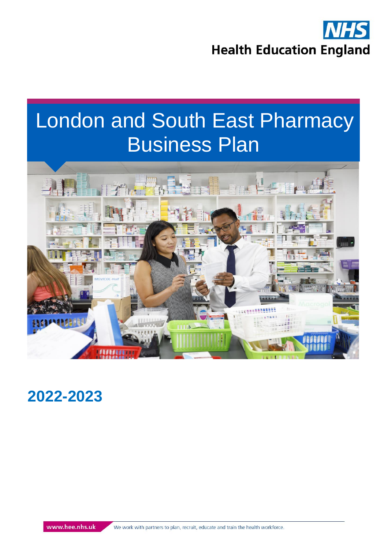

# London and South East Pharmacy Business Plan



# **2022-2023**

www.hee.nhs.uk

We work with partners to plan, recruit, educate and train the health workforce.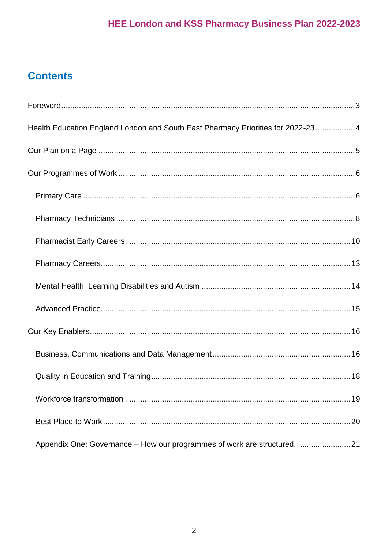## **Contents**

| Health Education England London and South East Pharmacy Priorities for 2022-234 |  |
|---------------------------------------------------------------------------------|--|
|                                                                                 |  |
|                                                                                 |  |
|                                                                                 |  |
|                                                                                 |  |
|                                                                                 |  |
|                                                                                 |  |
|                                                                                 |  |
|                                                                                 |  |
|                                                                                 |  |
|                                                                                 |  |
|                                                                                 |  |
|                                                                                 |  |
|                                                                                 |  |
| Appendix One: Governance - How our programmes of work are structured. 21        |  |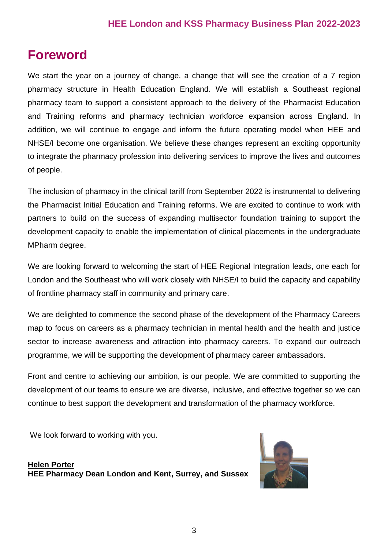# <span id="page-2-0"></span>**Foreword**

We start the year on a journey of change, a change that will see the creation of a 7 region pharmacy structure in Health Education England. We will establish a Southeast regional pharmacy team to support a consistent approach to the delivery of the Pharmacist Education and Training reforms and pharmacy technician workforce expansion across England. In addition, we will continue to engage and inform the future operating model when HEE and NHSE/I become one organisation. We believe these changes represent an exciting opportunity to integrate the pharmacy profession into delivering services to improve the lives and outcomes of people.

The inclusion of pharmacy in the clinical tariff from September 2022 is instrumental to delivering the Pharmacist Initial Education and Training reforms. We are excited to continue to work with partners to build on the success of expanding multisector foundation training to support the development capacity to enable the implementation of clinical placements in the undergraduate MPharm degree.

We are looking forward to welcoming the start of HEE Regional Integration leads, one each for London and the Southeast who will work closely with NHSE/I to build the capacity and capability of frontline pharmacy staff in community and primary care.

We are delighted to commence the second phase of the development of the Pharmacy Careers map to focus on careers as a pharmacy technician in mental health and the health and justice sector to increase awareness and attraction into pharmacy careers. To expand our outreach programme, we will be supporting the development of pharmacy career ambassadors.

Front and centre to achieving our ambition, is our people. We are committed to supporting the development of our teams to ensure we are diverse, inclusive, and effective together so we can continue to best support the development and transformation of the pharmacy workforce.

We look forward to working with you.



**[Helen Porter](https://www.lasepharmacy.hee.nhs.uk/home/meet-the-team/) HEE Pharmacy Dean London and Kent, Surrey, and Sussex**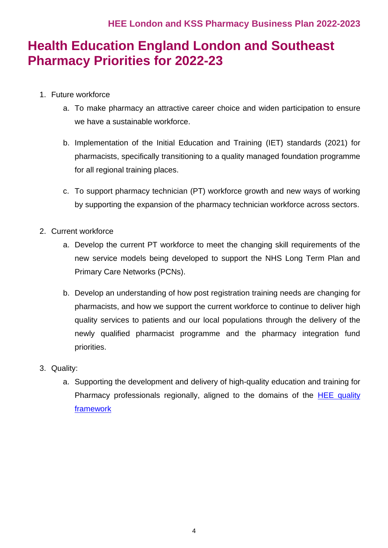# <span id="page-3-0"></span>**Health Education England London and Southeast Pharmacy Priorities for 2022-23**

- 1. Future workforce
	- a. To make pharmacy an attractive career choice and widen participation to ensure we have a sustainable workforce.
	- b. Implementation of the Initial Education and Training (IET) standards (2021) for pharmacists, specifically transitioning to a quality managed foundation programme for all regional training places.
	- c. To support pharmacy technician (PT) workforce growth and new ways of working by supporting the expansion of the pharmacy technician workforce across sectors.
- 2. Current workforce
	- a. Develop the current PT workforce to meet the changing skill requirements of the new service models being developed to support the NHS Long Term Plan and Primary Care Networks (PCNs).
	- b. Develop an understanding of how post registration training needs are changing for pharmacists, and how we support the current workforce to continue to deliver high quality services to patients and our local populations through the delivery of the newly qualified pharmacist programme and the pharmacy integration fund priorities.
- 3. Quality:
	- a. Supporting the development and delivery of high-quality education and training for Pharmacy professionals regionally, aligned to the domains of the [HEE quality](https://www.hee.nhs.uk/our-work/quality)  [framework](https://www.hee.nhs.uk/our-work/quality)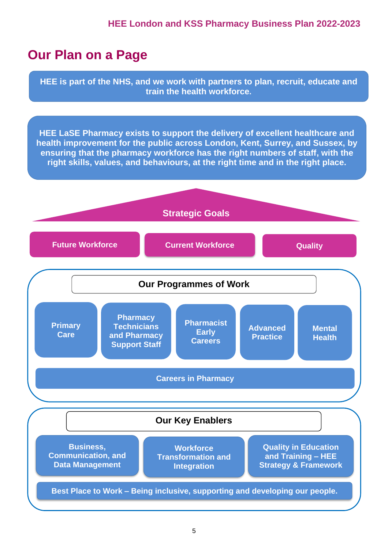# <span id="page-4-0"></span>**Our Plan on a Page**

**HEE is part of the NHS, and we work with partners to plan, recruit, educate and train the health workforce.**

**HEE LaSE Pharmacy exists to support the delivery of excellent healthcare and health improvement for the public across London, Kent, Surrey, and Sussex, by ensuring that the pharmacy workforce has the right numbers of staff, with the right skills, values, and behaviours, at the right time and in the right place.**

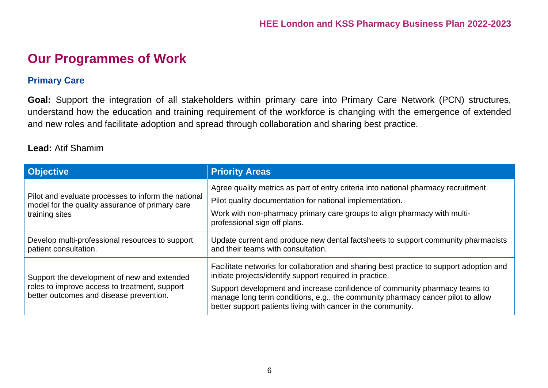### **Our Programmes of Work**

#### **Primary Care**

**Goal:** Support the integration of all stakeholders within primary care into Primary Care Network (PCN) structures, understand how the education and training requirement of the workforce is changing with the emergence of extended and new roles and facilitate adoption and spread through collaboration and sharing best practice.

#### **Lead:** Atif Shamim

<span id="page-5-1"></span><span id="page-5-0"></span>

| <b>Objective</b>                                                                                                                        | <b>Priority Areas</b>                                                                                                                                                                                                                                                                                                                                                                |
|-----------------------------------------------------------------------------------------------------------------------------------------|--------------------------------------------------------------------------------------------------------------------------------------------------------------------------------------------------------------------------------------------------------------------------------------------------------------------------------------------------------------------------------------|
| Pilot and evaluate processes to inform the national<br>model for the quality assurance of primary care<br>training sites                | Agree quality metrics as part of entry criteria into national pharmacy recruitment.<br>Pilot quality documentation for national implementation.<br>Work with non-pharmacy primary care groups to align pharmacy with multi-<br>professional sign off plans.                                                                                                                          |
| Develop multi-professional resources to support<br>patient consultation.                                                                | Update current and produce new dental factsheets to support community pharmacists<br>and their teams with consultation.                                                                                                                                                                                                                                                              |
| Support the development of new and extended<br>roles to improve access to treatment, support<br>better outcomes and disease prevention. | Facilitate networks for collaboration and sharing best practice to support adoption and<br>initiate projects/identify support required in practice.<br>Support development and increase confidence of community pharmacy teams to<br>manage long term conditions, e.g., the community pharmacy cancer pilot to allow<br>better support patients living with cancer in the community. |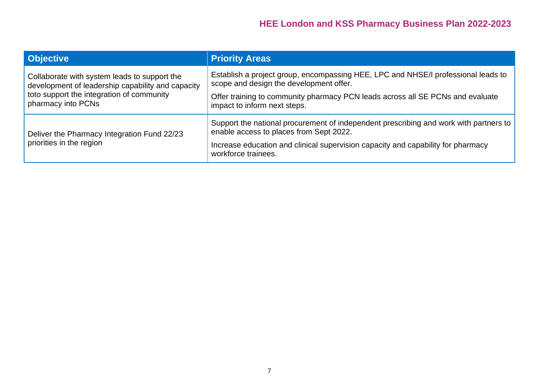| <b>Objective</b>                                                                                                                                                     | <b>Priority Areas</b>                                                                                                            |
|----------------------------------------------------------------------------------------------------------------------------------------------------------------------|----------------------------------------------------------------------------------------------------------------------------------|
| Collaborate with system leads to support the<br>development of leadership capability and capacity<br>toto support the integration of community<br>pharmacy into PCNs | Establish a project group, encompassing HEE, LPC and NHSE/I professional leads to<br>scope and design the development offer.     |
|                                                                                                                                                                      | Offer training to community pharmacy PCN leads across all SE PCNs and evaluate<br>impact to inform next steps.                   |
| Deliver the Pharmacy Integration Fund 22/23<br>priorities in the region                                                                                              | Support the national procurement of independent prescribing and work with partners to<br>enable access to places from Sept 2022. |
|                                                                                                                                                                      | Increase education and clinical supervision capacity and capability for pharmacy<br>workforce trainees.                          |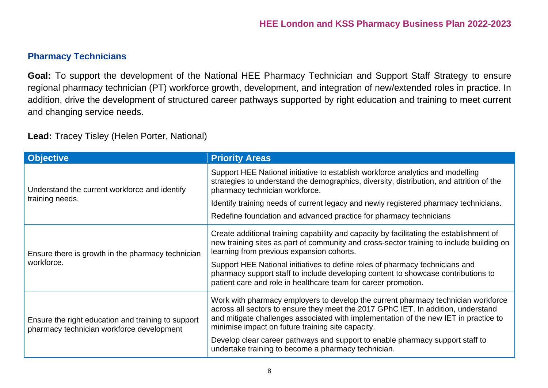#### **Pharmacy Technicians**

**Goal:** To support the development of the National HEE Pharmacy Technician and Support Staff Strategy to ensure regional pharmacy technician (PT) workforce growth, development, and integration of new/extended roles in practice. In addition, drive the development of structured career pathways supported by right education and training to meet current and changing service needs.

**Lead:** Tracey Tisley (Helen Porter, National)

<span id="page-7-0"></span>

| <b>Objective</b>                                                                                | <b>Priority Areas</b>                                                                                                                                                                                                                                                                                               |
|-------------------------------------------------------------------------------------------------|---------------------------------------------------------------------------------------------------------------------------------------------------------------------------------------------------------------------------------------------------------------------------------------------------------------------|
| Understand the current workforce and identify                                                   | Support HEE National initiative to establish workforce analytics and modelling<br>strategies to understand the demographics, diversity, distribution, and attrition of the<br>pharmacy technician workforce.                                                                                                        |
| training needs.                                                                                 | Identify training needs of current legacy and newly registered pharmacy technicians.                                                                                                                                                                                                                                |
|                                                                                                 | Redefine foundation and advanced practice for pharmacy technicians                                                                                                                                                                                                                                                  |
| Ensure there is growth in the pharmacy technician<br>workforce.                                 | Create additional training capability and capacity by facilitating the establishment of<br>new training sites as part of community and cross-sector training to include building on<br>learning from previous expansion cohorts.                                                                                    |
|                                                                                                 | Support HEE National initiatives to define roles of pharmacy technicians and<br>pharmacy support staff to include developing content to showcase contributions to<br>patient care and role in healthcare team for career promotion.                                                                                 |
| Ensure the right education and training to support<br>pharmacy technician workforce development | Work with pharmacy employers to develop the current pharmacy technician workforce<br>across all sectors to ensure they meet the 2017 GPhC IET. In addition, understand<br>and mitigate challenges associated with implementation of the new IET in practice to<br>minimise impact on future training site capacity. |
|                                                                                                 | Develop clear career pathways and support to enable pharmacy support staff to<br>undertake training to become a pharmacy technician.                                                                                                                                                                                |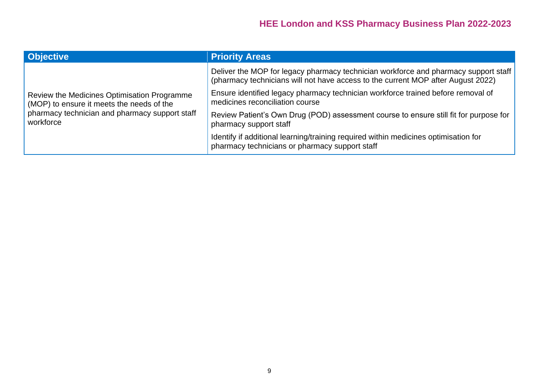| <b>Objective</b>                                                                                                                                        | <b>Priority Areas</b>                                                                                                                                                   |
|---------------------------------------------------------------------------------------------------------------------------------------------------------|-------------------------------------------------------------------------------------------------------------------------------------------------------------------------|
| Review the Medicines Optimisation Programme<br>(MOP) to ensure it meets the needs of the<br>pharmacy technician and pharmacy support staff<br>workforce | Deliver the MOP for legacy pharmacy technician workforce and pharmacy support staff<br>(pharmacy technicians will not have access to the current MOP after August 2022) |
|                                                                                                                                                         | Ensure identified legacy pharmacy technician workforce trained before removal of<br>medicines reconciliation course                                                     |
|                                                                                                                                                         | Review Patient's Own Drug (POD) assessment course to ensure still fit for purpose for<br>pharmacy support staff                                                         |
|                                                                                                                                                         | Identify if additional learning/training required within medicines optimisation for<br>pharmacy technicians or pharmacy support staff                                   |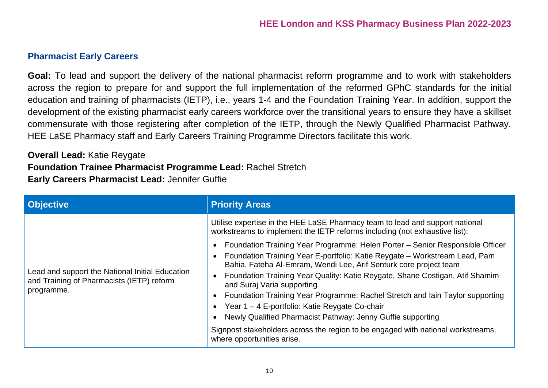#### **Pharmacist Early Careers**

**Goal:** To lead and support the delivery of the national pharmacist reform programme and to work with stakeholders across the region to prepare for and support the full implementation of the reformed GPhC standards for the initial education and training of pharmacists (IETP), i.e., years 1-4 and the Foundation Training Year. In addition, support the development of the existing pharmacist early careers workforce over the transitional years to ensure they have a skillset commensurate with those registering after completion of the IETP, through the Newly Qualified Pharmacist Pathway. HEE LaSE Pharmacy staff and Early Careers Training Programme Directors facilitate this work.

**Overall Lead:** Katie Reygate **Foundation Trainee Pharmacist Programme Lead:** Rachel Stretch **Early Careers Pharmacist Lead:** Jennifer Guffie

<span id="page-9-0"></span>

| <b>Objective</b>                                                                                           | <b>Priority Areas</b>                                                                                                                                                                                                                                                                                                                                                                                                                                                                                                                                                                                                                                              |
|------------------------------------------------------------------------------------------------------------|--------------------------------------------------------------------------------------------------------------------------------------------------------------------------------------------------------------------------------------------------------------------------------------------------------------------------------------------------------------------------------------------------------------------------------------------------------------------------------------------------------------------------------------------------------------------------------------------------------------------------------------------------------------------|
|                                                                                                            | Utilise expertise in the HEE LaSE Pharmacy team to lead and support national<br>workstreams to implement the IETP reforms including (not exhaustive list):                                                                                                                                                                                                                                                                                                                                                                                                                                                                                                         |
| Lead and support the National Initial Education<br>and Training of Pharmacists (IETP) reform<br>programme. | Foundation Training Year Programme: Helen Porter - Senior Responsible Officer<br>Foundation Training Year E-portfolio: Katie Reygate - Workstream Lead, Pam<br>Bahia, Fateha Al-Emram, Wendi Lee, Arif Senturk core project team<br>Foundation Training Year Quality: Katie Reygate, Shane Costigan, Atif Shamim<br>and Suraj Varia supporting<br>Foundation Training Year Programme: Rachel Stretch and Iain Taylor supporting<br>Year 1 – 4 E-portfolio: Katie Reygate Co-chair<br>Newly Qualified Pharmacist Pathway: Jenny Guffie supporting<br>Signpost stakeholders across the region to be engaged with national workstreams,<br>where opportunities arise. |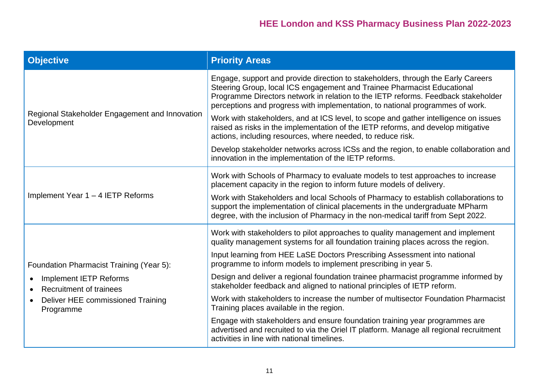| <b>Objective</b>                                                                                                                                                           | <b>Priority Areas</b>                                                                                                                                                                                                                                                                                                             |
|----------------------------------------------------------------------------------------------------------------------------------------------------------------------------|-----------------------------------------------------------------------------------------------------------------------------------------------------------------------------------------------------------------------------------------------------------------------------------------------------------------------------------|
| Regional Stakeholder Engagement and Innovation<br>Development                                                                                                              | Engage, support and provide direction to stakeholders, through the Early Careers<br>Steering Group, local ICS engagement and Trainee Pharmacist Educational<br>Programme Directors network in relation to the IETP reforms. Feedback stakeholder<br>perceptions and progress with implementation, to national programmes of work. |
|                                                                                                                                                                            | Work with stakeholders, and at ICS level, to scope and gather intelligence on issues<br>raised as risks in the implementation of the IETP reforms, and develop mitigative<br>actions, including resources, where needed, to reduce risk.                                                                                          |
|                                                                                                                                                                            | Develop stakeholder networks across ICSs and the region, to enable collaboration and<br>innovation in the implementation of the IETP reforms.                                                                                                                                                                                     |
| Implement Year 1 - 4 IETP Reforms                                                                                                                                          | Work with Schools of Pharmacy to evaluate models to test approaches to increase<br>placement capacity in the region to inform future models of delivery.                                                                                                                                                                          |
|                                                                                                                                                                            | Work with Stakeholders and local Schools of Pharmacy to establish collaborations to<br>support the implementation of clinical placements in the undergraduate MPharm<br>degree, with the inclusion of Pharmacy in the non-medical tariff from Sept 2022.                                                                          |
| Foundation Pharmacist Training (Year 5):<br><b>Implement IETP Reforms</b><br><b>Recruitment of trainees</b><br>Deliver HEE commissioned Training<br>$\bullet$<br>Programme | Work with stakeholders to pilot approaches to quality management and implement<br>quality management systems for all foundation training places across the region.                                                                                                                                                                |
|                                                                                                                                                                            | Input learning from HEE LaSE Doctors Prescribing Assessment into national<br>programme to inform models to implement prescribing in year 5.                                                                                                                                                                                       |
|                                                                                                                                                                            | Design and deliver a regional foundation trainee pharmacist programme informed by<br>stakeholder feedback and aligned to national principles of IETP reform.                                                                                                                                                                      |
|                                                                                                                                                                            | Work with stakeholders to increase the number of multisector Foundation Pharmacist<br>Training places available in the region.                                                                                                                                                                                                    |
|                                                                                                                                                                            | Engage with stakeholders and ensure foundation training year programmes are<br>advertised and recruited to via the Oriel IT platform. Manage all regional recruitment<br>activities in line with national timelines.                                                                                                              |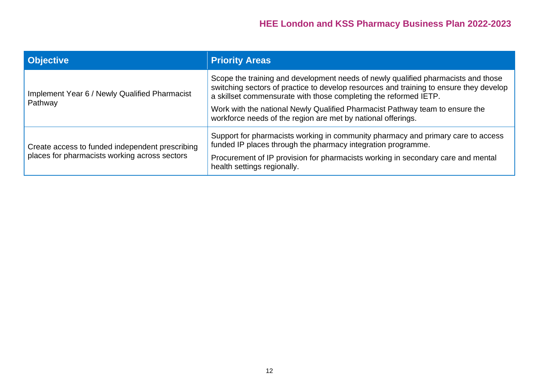| <b>Objective</b>                                                                                 | <b>Priority Areas</b>                                                                                                                                                                                                                           |
|--------------------------------------------------------------------------------------------------|-------------------------------------------------------------------------------------------------------------------------------------------------------------------------------------------------------------------------------------------------|
| Implement Year 6 / Newly Qualified Pharmacist<br>Pathway                                         | Scope the training and development needs of newly qualified pharmacists and those<br>switching sectors of practice to develop resources and training to ensure they develop<br>a skillset commensurate with those completing the reformed IETP. |
|                                                                                                  | Work with the national Newly Qualified Pharmacist Pathway team to ensure the<br>workforce needs of the region are met by national offerings.                                                                                                    |
| Create access to funded independent prescribing<br>places for pharmacists working across sectors | Support for pharmacists working in community pharmacy and primary care to access<br>funded IP places through the pharmacy integration programme.                                                                                                |
|                                                                                                  | Procurement of IP provision for pharmacists working in secondary care and mental<br>health settings regionally.                                                                                                                                 |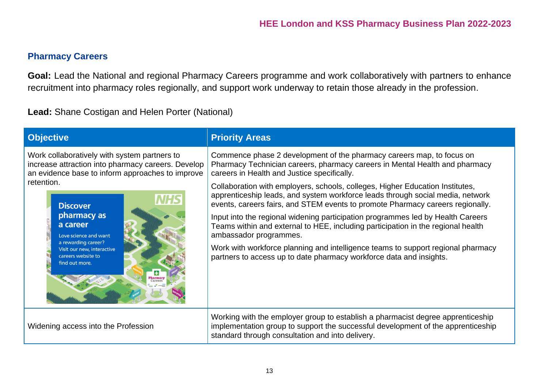#### **Pharmacy Careers**

**Goal:** Lead the National and regional Pharmacy Careers programme and work collaboratively with partners to enhance recruitment into pharmacy roles regionally, and support work underway to retain those already in the profession.

**Lead:** Shane Costigan and Helen Porter (National)

<span id="page-12-0"></span>

| <b>Objective</b>                                                                                                                                                                                                                                                                                                                                    | <b>Priority Areas</b>                                                                                                                                                                                                                                                                                                                                                                                                                                                                                                                                                                                                                                                                                                                                                                                                |
|-----------------------------------------------------------------------------------------------------------------------------------------------------------------------------------------------------------------------------------------------------------------------------------------------------------------------------------------------------|----------------------------------------------------------------------------------------------------------------------------------------------------------------------------------------------------------------------------------------------------------------------------------------------------------------------------------------------------------------------------------------------------------------------------------------------------------------------------------------------------------------------------------------------------------------------------------------------------------------------------------------------------------------------------------------------------------------------------------------------------------------------------------------------------------------------|
| Work collaboratively with system partners to<br>increase attraction into pharmacy careers. Develop<br>an evidence base to inform approaches to improve<br>retention.<br><b>Discover</b><br>pharmacy as<br>a career<br>Love science and want<br>a rewarding career?<br>Visit our new, interactive<br>careers website to<br>find out more.<br>Pharmac | Commence phase 2 development of the pharmacy careers map, to focus on<br>Pharmacy Technician careers, pharmacy careers in Mental Health and pharmacy<br>careers in Health and Justice specifically.<br>Collaboration with employers, schools, colleges, Higher Education Institutes,<br>apprenticeship leads, and system workforce leads through social media, network<br>events, careers fairs, and STEM events to promote Pharmacy careers regionally.<br>Input into the regional widening participation programmes led by Health Careers<br>Teams within and external to HEE, including participation in the regional health<br>ambassador programmes.<br>Work with workforce planning and intelligence teams to support regional pharmacy<br>partners to access up to date pharmacy workforce data and insights. |
| Widening access into the Profession                                                                                                                                                                                                                                                                                                                 | Working with the employer group to establish a pharmacist degree apprenticeship<br>implementation group to support the successful development of the apprenticeship<br>standard through consultation and into delivery.                                                                                                                                                                                                                                                                                                                                                                                                                                                                                                                                                                                              |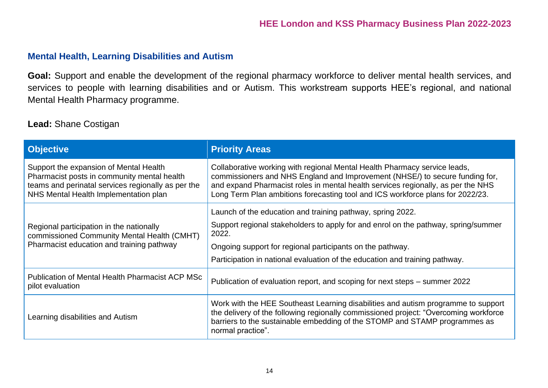#### **Mental Health, Learning Disabilities and Autism**

**Goal:** Support and enable the development of the regional pharmacy workforce to deliver mental health services, and services to people with learning disabilities and or Autism. This workstream supports HEE's regional, and national Mental Health Pharmacy programme.

#### **Lead:** Shane Costigan

<span id="page-13-1"></span><span id="page-13-0"></span>

| <b>Objective</b>                                                                                                                                                                     | <b>Priority Areas</b>                                                                                                                                                                                                                                                                                                           |
|--------------------------------------------------------------------------------------------------------------------------------------------------------------------------------------|---------------------------------------------------------------------------------------------------------------------------------------------------------------------------------------------------------------------------------------------------------------------------------------------------------------------------------|
| Support the expansion of Mental Health<br>Pharmacist posts in community mental health<br>teams and perinatal services regionally as per the<br>NHS Mental Health Implementation plan | Collaborative working with regional Mental Health Pharmacy service leads,<br>commissioners and NHS England and Improvement (NHSE/) to secure funding for,<br>and expand Pharmacist roles in mental health services regionally, as per the NHS<br>Long Term Plan ambitions forecasting tool and ICS workforce plans for 2022/23. |
| Regional participation in the nationally<br>commissioned Community Mental Health (CMHT)<br>Pharmacist education and training pathway                                                 | Launch of the education and training pathway, spring 2022.<br>Support regional stakeholders to apply for and enrol on the pathway, spring/summer<br>2022.<br>Ongoing support for regional participants on the pathway.<br>Participation in national evaluation of the education and training pathway.                           |
| <b>Publication of Mental Health Pharmacist ACP MSc</b><br>pilot evaluation                                                                                                           | Publication of evaluation report, and scoping for next steps – summer 2022                                                                                                                                                                                                                                                      |
| Learning disabilities and Autism                                                                                                                                                     | Work with the HEE Southeast Learning disabilities and autism programme to support<br>the delivery of the following regionally commissioned project: "Overcoming workforce<br>barriers to the sustainable embedding of the STOMP and STAMP programmes as<br>normal practice".                                                    |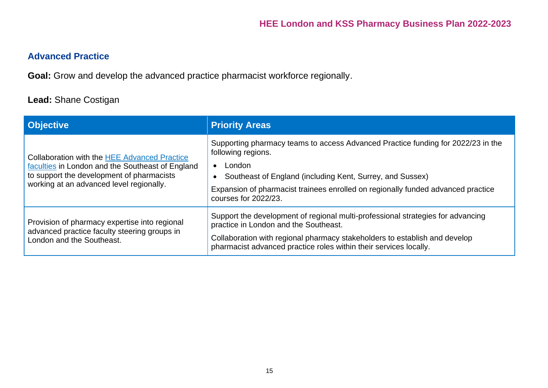#### **Advanced Practice**

**Goal:** Grow and develop the advanced practice pharmacist workforce regionally.

#### **Lead:** Shane Costigan

<span id="page-14-0"></span>

| <b>Objective</b>                                                                                                                                                                                 | <b>Priority Areas</b>                                                                                                                                                                                                                                                                     |
|--------------------------------------------------------------------------------------------------------------------------------------------------------------------------------------------------|-------------------------------------------------------------------------------------------------------------------------------------------------------------------------------------------------------------------------------------------------------------------------------------------|
| <b>Collaboration with the HEE Advanced Practice</b><br>faculties in London and the Southeast of England<br>to support the development of pharmacists<br>working at an advanced level regionally. | Supporting pharmacy teams to access Advanced Practice funding for 2022/23 in the<br>following regions.<br>London<br>Southeast of England (including Kent, Surrey, and Sussex)<br>Expansion of pharmacist trainees enrolled on regionally funded advanced practice<br>courses for 2022/23. |
| Provision of pharmacy expertise into regional<br>advanced practice faculty steering groups in<br>London and the Southeast.                                                                       | Support the development of regional multi-professional strategies for advancing<br>practice in London and the Southeast.<br>Collaboration with regional pharmacy stakeholders to establish and develop<br>pharmacist advanced practice roles within their services locally.               |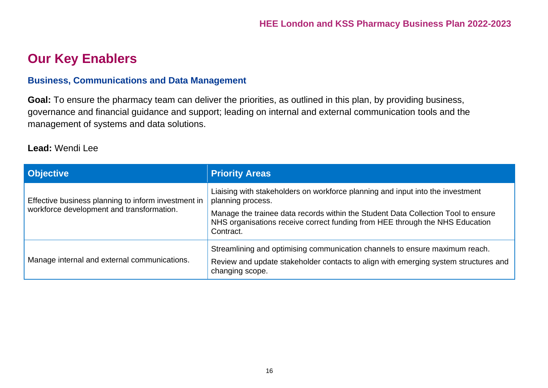# **Our Key Enablers**

#### **Business, Communications and Data Management**

**Goal:** To ensure the pharmacy team can deliver the priorities, as outlined in this plan, by providing business, governance and financial guidance and support; leading on internal and external communication tools and the management of systems and data solutions.

#### **Lead:** Wendi Lee

<span id="page-15-0"></span>

| <b>Objective</b>                                                                                 | <b>Priority Areas</b>                                                                                                                                                                                                                                                                 |
|--------------------------------------------------------------------------------------------------|---------------------------------------------------------------------------------------------------------------------------------------------------------------------------------------------------------------------------------------------------------------------------------------|
| Effective business planning to inform investment in<br>workforce development and transformation. | Liaising with stakeholders on workforce planning and input into the investment<br>planning process.<br>Manage the trainee data records within the Student Data Collection Tool to ensure<br>NHS organisations receive correct funding from HEE through the NHS Education<br>Contract. |
| Manage internal and external communications.                                                     | Streamlining and optimising communication channels to ensure maximum reach.<br>Review and update stakeholder contacts to align with emerging system structures and<br>changing scope.                                                                                                 |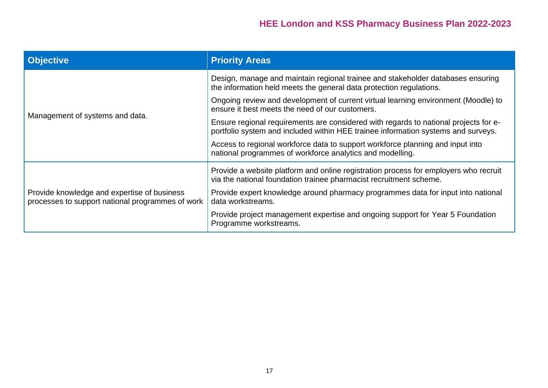<span id="page-16-0"></span>

| <b>Objective</b>                                                                                | <b>Priority Areas</b>                                                                                                                                                     |
|-------------------------------------------------------------------------------------------------|---------------------------------------------------------------------------------------------------------------------------------------------------------------------------|
| Management of systems and data.                                                                 | Design, manage and maintain regional trainee and stakeholder databases ensuring<br>the information held meets the general data protection regulations.                    |
|                                                                                                 | Ongoing review and development of current virtual learning environment (Moodle) to<br>ensure it best meets the need of our customers.                                     |
|                                                                                                 | Ensure regional requirements are considered with regards to national projects for e-<br>portfolio system and included within HEE trainee information systems and surveys. |
|                                                                                                 | Access to regional workforce data to support workforce planning and input into<br>national programmes of workforce analytics and modelling.                               |
| Provide knowledge and expertise of business<br>processes to support national programmes of work | Provide a website platform and online registration process for employers who recruit<br>via the national foundation trainee pharmacist recruitment scheme.                |
|                                                                                                 | Provide expert knowledge around pharmacy programmes data for input into national<br>data workstreams.                                                                     |
|                                                                                                 | Provide project management expertise and ongoing support for Year 5 Foundation<br>Programme workstreams.                                                                  |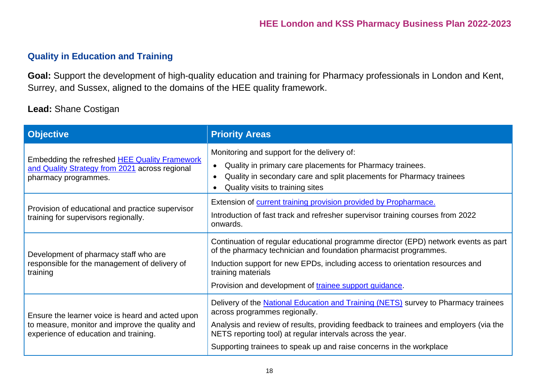#### **Quality in Education and Training**

**Goal:** Support the development of high-quality education and training for Pharmacy professionals in London and Kent, Surrey, and Sussex, aligned to the domains of the HEE quality framework.

#### **Lead:** Shane Costigan

| <b>Objective</b>                                                                                                                             | <b>Priority Areas</b>                                                                                                                                                                                                                                                                                                                             |
|----------------------------------------------------------------------------------------------------------------------------------------------|---------------------------------------------------------------------------------------------------------------------------------------------------------------------------------------------------------------------------------------------------------------------------------------------------------------------------------------------------|
| Embedding the refreshed <b>HEE Quality Framework</b><br>and Quality Strategy from 2021 across regional<br>pharmacy programmes.               | Monitoring and support for the delivery of:<br>Quality in primary care placements for Pharmacy trainees.<br>$\bullet$<br>Quality in secondary care and split placements for Pharmacy trainees<br>$\bullet$<br>Quality visits to training sites                                                                                                    |
| Provision of educational and practice supervisor<br>training for supervisors regionally.                                                     | Extension of current training provision provided by Propharmace.<br>Introduction of fast track and refresher supervisor training courses from 2022<br>onwards.                                                                                                                                                                                    |
| Development of pharmacy staff who are<br>responsible for the management of delivery of<br>training                                           | Continuation of regular educational programme director (EPD) network events as part<br>of the pharmacy technician and foundation pharmacist programmes.<br>Induction support for new EPDs, including access to orientation resources and<br>training materials<br>Provision and development of trainee support guidance.                          |
| Ensure the learner voice is heard and acted upon<br>to measure, monitor and improve the quality and<br>experience of education and training. | Delivery of the National Education and Training (NETS) survey to Pharmacy trainees<br>across programmes regionally.<br>Analysis and review of results, providing feedback to trainees and employers (via the<br>NETS reporting tool) at regular intervals across the year.<br>Supporting trainees to speak up and raise concerns in the workplace |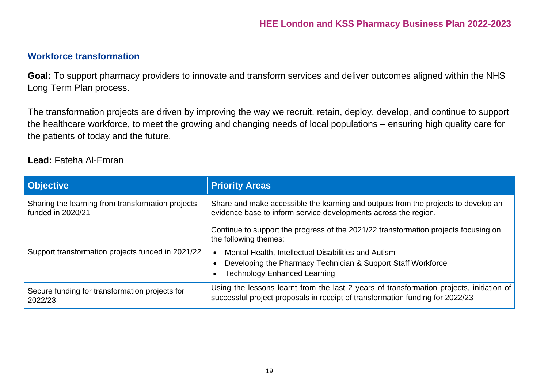#### **Workforce [transformation](https://www.hee.nhs.uk/our-work/workforce-transformation)**

**Goal:** To support pharmacy providers to innovate and transform services and deliver outcomes aligned within the NHS Long Term Plan process.

The transformation projects are driven by improving the way we recruit, retain, deploy, develop, and continue to support the healthcare workforce, to meet the growing and changing needs of local populations – ensuring high quality care for the patients of today and the future.

#### **Lead:** Fateha Al-Emran

<span id="page-18-1"></span><span id="page-18-0"></span>

| <b>Objective</b>                                                       | <b>Priority Areas</b>                                                                                                                                                     |
|------------------------------------------------------------------------|---------------------------------------------------------------------------------------------------------------------------------------------------------------------------|
| Sharing the learning from transformation projects<br>funded in 2020/21 | Share and make accessible the learning and outputs from the projects to develop an<br>evidence base to inform service developments across the region.                     |
| Support transformation projects funded in 2021/22                      | Continue to support the progress of the 2021/22 transformation projects focusing on<br>the following themes:                                                              |
|                                                                        | Mental Health, Intellectual Disabilities and Autism<br>Developing the Pharmacy Technician & Support Staff Workforce<br><b>Technology Enhanced Learning</b>                |
| Secure funding for transformation projects for<br>2022/23              | Using the lessons learnt from the last 2 years of transformation projects, initiation of<br>successful project proposals in receipt of transformation funding for 2022/23 |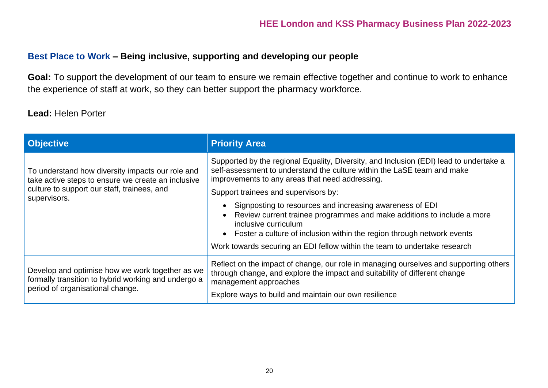#### **Best Place to Work – Being inclusive, supporting and developing our people**

**Goal:** To support the development of our team to ensure we remain effective together and continue to work to enhance the experience of staff at work, so they can better support the pharmacy workforce.

#### **Lead:** Helen Porter

| <b>Objective</b>                                                                                                                                                      | <b>Priority Area</b>                                                                                                                                                                                                                                                                                                                                                                                                                                                                                                                                                                |
|-----------------------------------------------------------------------------------------------------------------------------------------------------------------------|-------------------------------------------------------------------------------------------------------------------------------------------------------------------------------------------------------------------------------------------------------------------------------------------------------------------------------------------------------------------------------------------------------------------------------------------------------------------------------------------------------------------------------------------------------------------------------------|
| To understand how diversity impacts our role and<br>take active steps to ensure we create an inclusive<br>culture to support our staff, trainees, and<br>supervisors. | Supported by the regional Equality, Diversity, and Inclusion (EDI) lead to undertake a<br>self-assessment to understand the culture within the LaSE team and make<br>improvements to any areas that need addressing.<br>Support trainees and supervisors by:<br>Signposting to resources and increasing awareness of EDI<br>Review current trainee programmes and make additions to include a more<br>inclusive curriculum<br>• Foster a culture of inclusion within the region through network events<br>Work towards securing an EDI fellow within the team to undertake research |
| Develop and optimise how we work together as we<br>formally transition to hybrid working and undergo a<br>period of organisational change.                            | Reflect on the impact of change, our role in managing ourselves and supporting others<br>through change, and explore the impact and suitability of different change<br>management approaches<br>Explore ways to build and maintain our own resilience                                                                                                                                                                                                                                                                                                                               |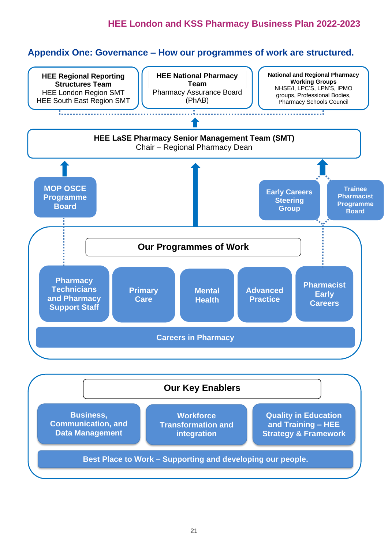#### <span id="page-20-0"></span>**Appendix One: Governance – How our programmes of work are structured.**